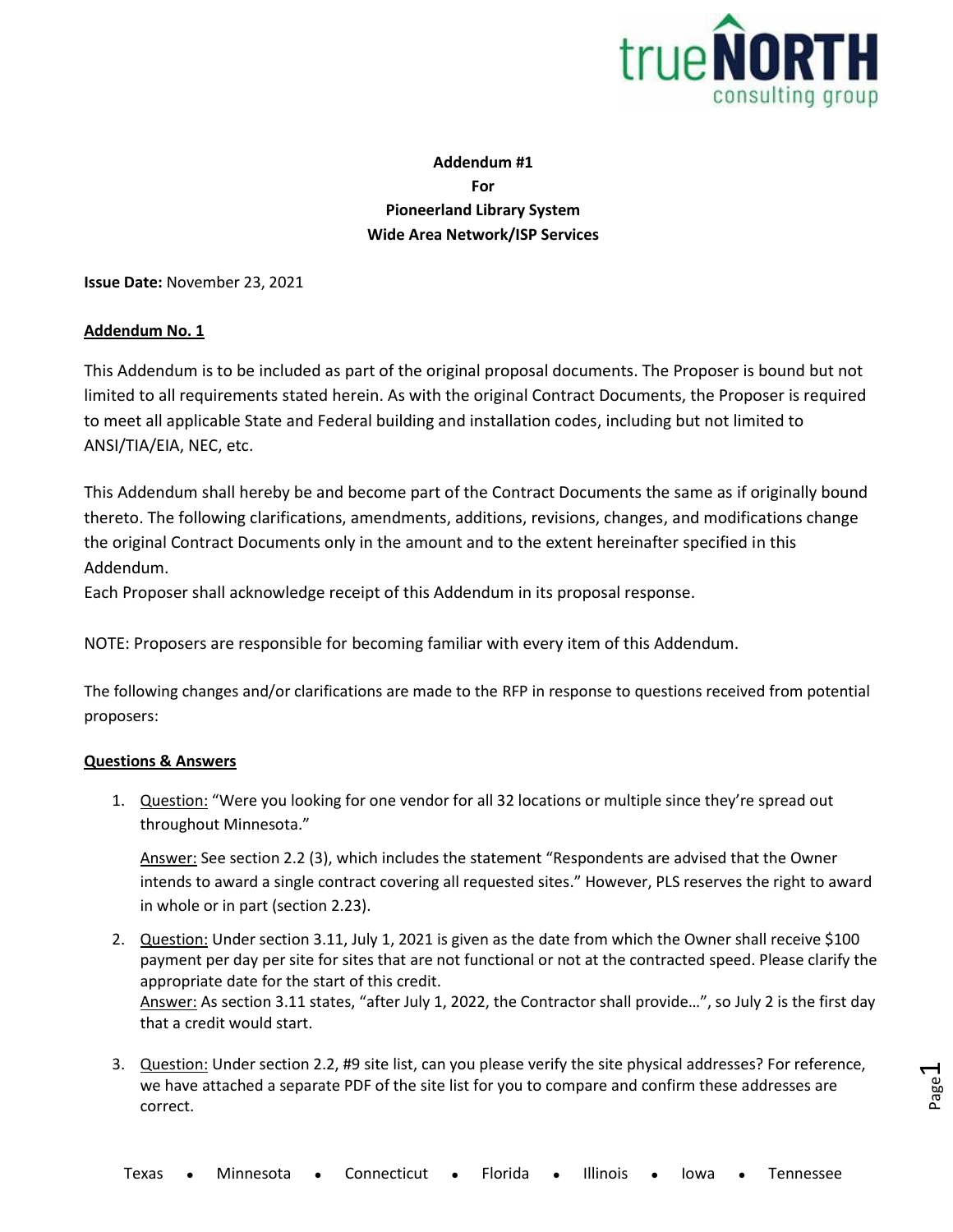

Page  $\overline{\phantom{0}}$ 

## **Addendum #1 For Pioneerland Library System Wide Area Network/ISP Services**

**Issue Date:** November 23, 2021

## **Addendum No. 1**

This Addendum is to be included as part of the original proposal documents. The Proposer is bound but not limited to all requirements stated herein. As with the original Contract Documents, the Proposer is required to meet all applicable State and Federal building and installation codes, including but not limited to ANSI/TIA/EIA, NEC, etc.

This Addendum shall hereby be and become part of the Contract Documents the same as if originally bound thereto. The following clarifications, amendments, additions, revisions, changes, and modifications change the original Contract Documents only in the amount and to the extent hereinafter specified in this Addendum.

Each Proposer shall acknowledge receipt of this Addendum in its proposal response.

NOTE: Proposers are responsible for becoming familiar with every item of this Addendum.

The following changes and/or clarifications are made to the RFP in response to questions received from potential proposers:

## **Questions & Answers**

1. Question: "Were you looking for one vendor for all 32 locations or multiple since they're spread out throughout Minnesota."

Answer: See section 2.2 (3), which includes the statement "Respondents are advised that the Owner intends to award a single contract covering all requested sites." However, PLS reserves the right to award in whole or in part (section 2.23).

- 2. Question: Under section 3.11, July 1, 2021 is given as the date from which the Owner shall receive \$100 payment per day per site for sites that are not functional or not at the contracted speed. Please clarify the appropriate date for the start of this credit. Answer: As section 3.11 states, "after July 1, 2022, the Contractor shall provide…", so July 2 is the first day that a credit would start.
- 3. Question: Under section 2.2, #9 site list, can you please verify the site physical addresses? For reference, we have attached a separate PDF of the site list for you to compare and confirm these addresses are correct.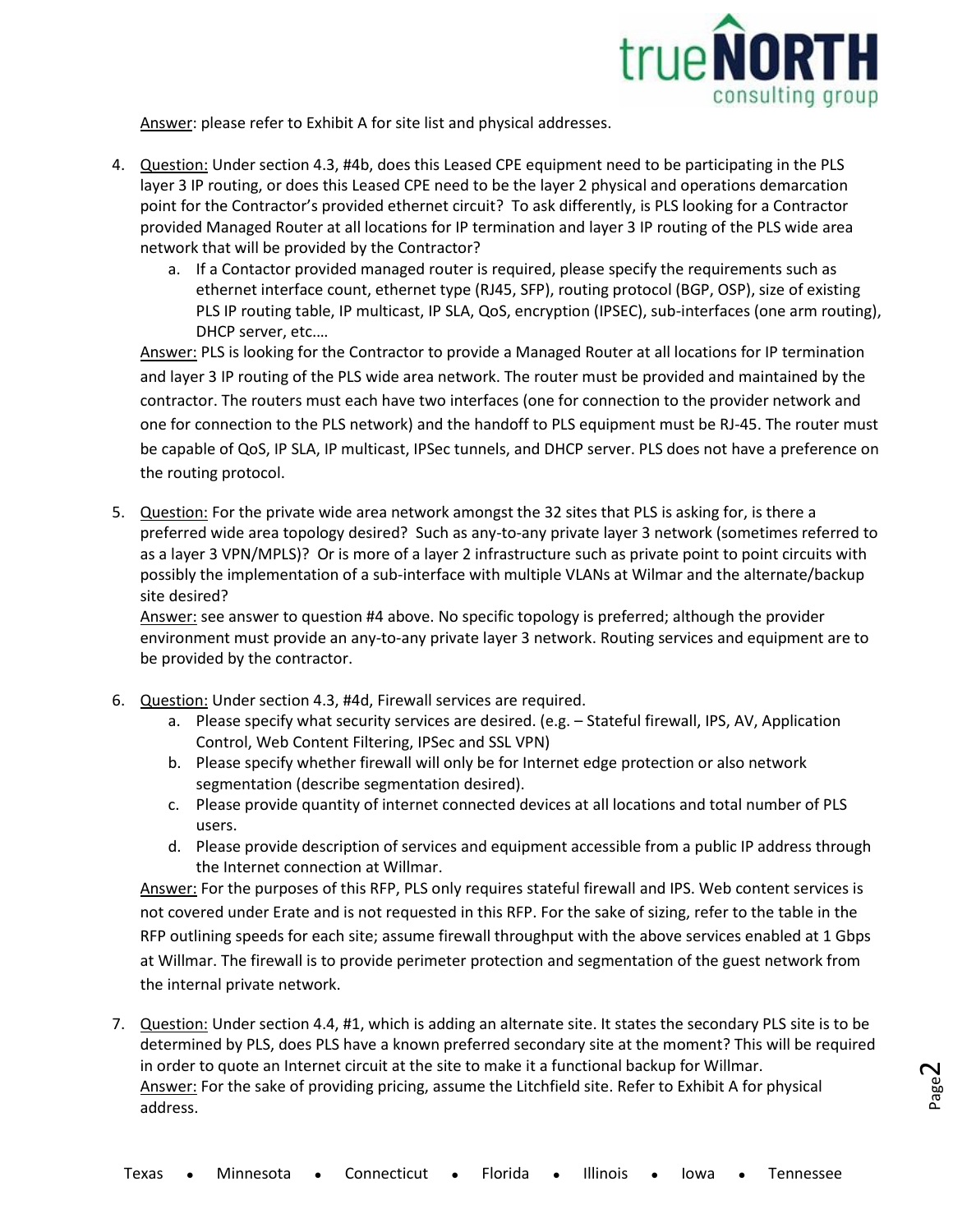

Page  $\boldsymbol{\sim}$ 

Answer: please refer to Exhibit A for site list and physical addresses.

- 4. Question: Under section 4.3, #4b, does this Leased CPE equipment need to be participating in the PLS layer 3 IP routing, or does this Leased CPE need to be the layer 2 physical and operations demarcation point for the Contractor's provided ethernet circuit? To ask differently, is PLS looking for a Contractor provided Managed Router at all locations for IP termination and layer 3 IP routing of the PLS wide area network that will be provided by the Contractor?
	- a. If a Contactor provided managed router is required, please specify the requirements such as ethernet interface count, ethernet type (RJ45, SFP), routing protocol (BGP, OSP), size of existing PLS IP routing table, IP multicast, IP SLA, QoS, encryption (IPSEC), sub-interfaces (one arm routing), DHCP server, etc.…

Answer: PLS is looking for the Contractor to provide a Managed Router at all locations for IP termination and layer 3 IP routing of the PLS wide area network. The router must be provided and maintained by the contractor. The routers must each have two interfaces (one for connection to the provider network and one for connection to the PLS network) and the handoff to PLS equipment must be RJ-45. The router must be capable of QoS, IP SLA, IP multicast, IPSec tunnels, and DHCP server. PLS does not have a preference on the routing protocol.

5. Question: For the private wide area network amongst the 32 sites that PLS is asking for, is there a preferred wide area topology desired? Such as any-to-any private layer 3 network (sometimes referred to as a layer 3 VPN/MPLS)? Or is more of a layer 2 infrastructure such as private point to point circuits with possibly the implementation of a sub-interface with multiple VLANs at Wilmar and the alternate/backup site desired?

Answer: see answer to question #4 above. No specific topology is preferred; although the provider environment must provide an any-to-any private layer 3 network. Routing services and equipment are to be provided by the contractor.

- 6. Question: Under section 4.3, #4d, Firewall services are required.
	- a. Please specify what security services are desired. (e.g. Stateful firewall, IPS, AV, Application Control, Web Content Filtering, IPSec and SSL VPN)
	- b. Please specify whether firewall will only be for Internet edge protection or also network segmentation (describe segmentation desired).
	- c. Please provide quantity of internet connected devices at all locations and total number of PLS users.
	- d. Please provide description of services and equipment accessible from a public IP address through the Internet connection at Willmar.

Answer: For the purposes of this RFP, PLS only requires stateful firewall and IPS. Web content services is not covered under Erate and is not requested in this RFP. For the sake of sizing, refer to the table in the RFP outlining speeds for each site; assume firewall throughput with the above services enabled at 1 Gbps at Willmar. The firewall is to provide perimeter protection and segmentation of the guest network from the internal private network.

7. Question: Under section 4.4, #1, which is adding an alternate site. It states the secondary PLS site is to be determined by PLS, does PLS have a known preferred secondary site at the moment? This will be required in order to quote an Internet circuit at the site to make it a functional backup for Willmar. Answer: For the sake of providing pricing, assume the Litchfield site. Refer to Exhibit A for physical address.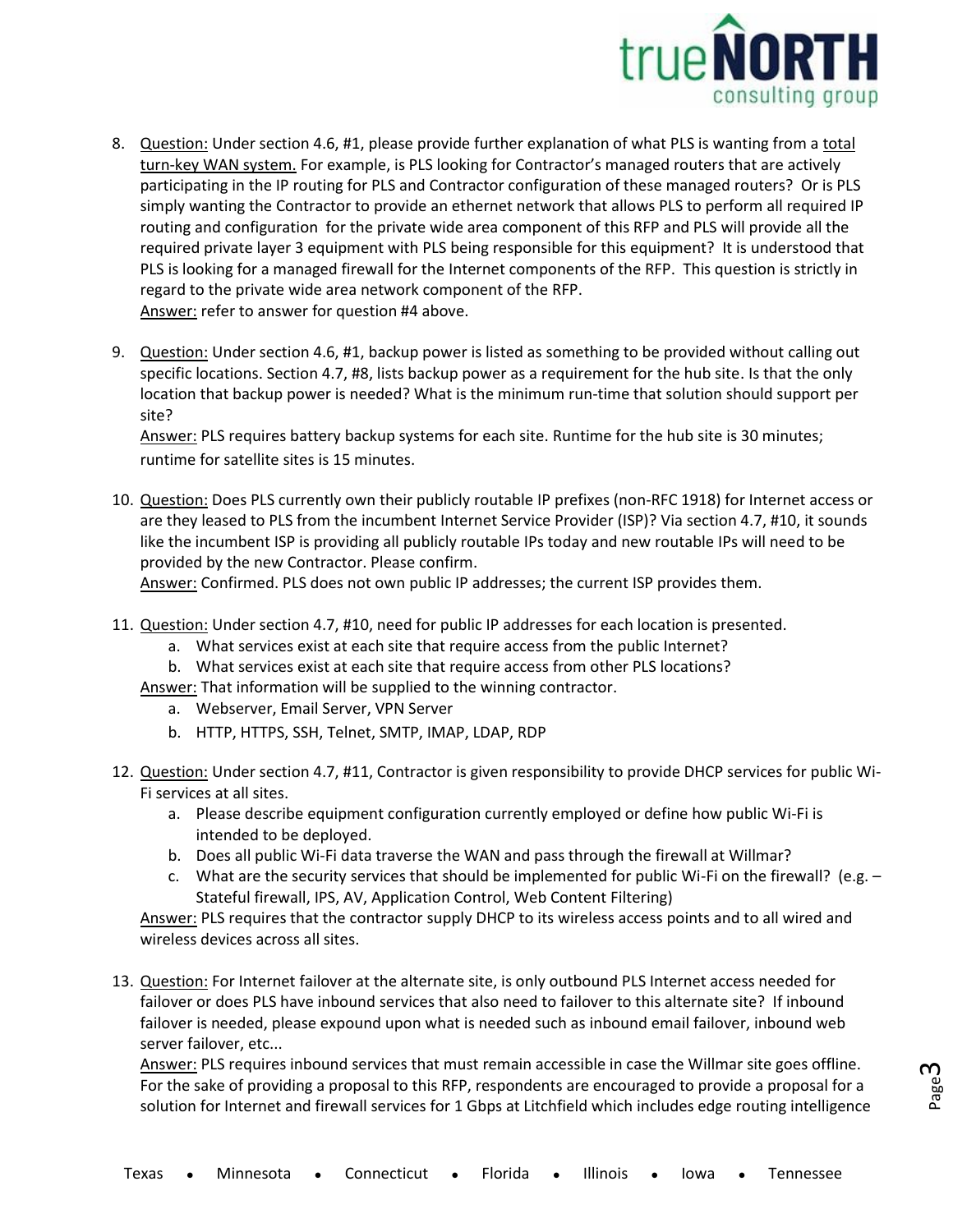

- 8. Question: Under section 4.6, #1, please provide further explanation of what PLS is wanting from a total turn-key WAN system. For example, is PLS looking for Contractor's managed routers that are actively participating in the IP routing for PLS and Contractor configuration of these managed routers? Or is PLS simply wanting the Contractor to provide an ethernet network that allows PLS to perform all required IP routing and configuration for the private wide area component of this RFP and PLS will provide all the required private layer 3 equipment with PLS being responsible for this equipment? It is understood that PLS is looking for a managed firewall for the Internet components of the RFP. This question is strictly in regard to the private wide area network component of the RFP. Answer: refer to answer for question #4 above.
- 9. Question: Under section 4.6, #1, backup power is listed as something to be provided without calling out specific locations. Section 4.7, #8, lists backup power as a requirement for the hub site. Is that the only location that backup power is needed? What is the minimum run-time that solution should support per site?

Answer: PLS requires battery backup systems for each site. Runtime for the hub site is 30 minutes; runtime for satellite sites is 15 minutes.

10. Question: Does PLS currently own their publicly routable IP prefixes (non-RFC 1918) for Internet access or are they leased to PLS from the incumbent Internet Service Provider (ISP)? Via section 4.7, #10, it sounds like the incumbent ISP is providing all publicly routable IPs today and new routable IPs will need to be provided by the new Contractor. Please confirm.

Answer: Confirmed. PLS does not own public IP addresses; the current ISP provides them.

- 11. Question: Under section 4.7, #10, need for public IP addresses for each location is presented.
	- a. What services exist at each site that require access from the public Internet?
	- b. What services exist at each site that require access from other PLS locations?
	- Answer: That information will be supplied to the winning contractor.
		- a. Webserver, Email Server, VPN Server
		- b. HTTP, HTTPS, SSH, Telnet, SMTP, IMAP, LDAP, RDP
- 12. Question: Under section 4.7, #11, Contractor is given responsibility to provide DHCP services for public Wi-Fi services at all sites.
	- a. Please describe equipment configuration currently employed or define how public Wi-Fi is intended to be deployed.
	- b. Does all public Wi-Fi data traverse the WAN and pass through the firewall at Willmar?
	- c. What are the security services that should be implemented for public Wi-Fi on the firewall? (e.g. Stateful firewall, IPS, AV, Application Control, Web Content Filtering)

Answer: PLS requires that the contractor supply DHCP to its wireless access points and to all wired and wireless devices across all sites.

13. Question: For Internet failover at the alternate site, is only outbound PLS Internet access needed for failover or does PLS have inbound services that also need to failover to this alternate site? If inbound failover is needed, please expound upon what is needed such as inbound email failover, inbound web server failover, etc...

Answer: PLS requires inbound services that must remain accessible in case the Willmar site goes offline. For the sake of providing a proposal to this RFP, respondents are encouraged to provide a proposal for a solution for Internet and firewall services for 1 Gbps at Litchfield which includes edge routing intelligence